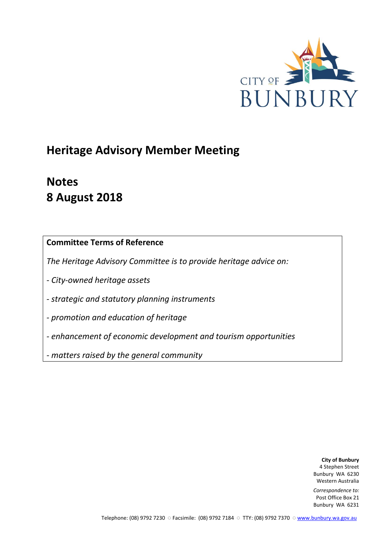

# **Heritage Advisory Member Meeting**

# **Notes 8 August 2018**

**Committee Terms of Reference**

*The Heritage Advisory Committee is to provide heritage advice on:*

*- City-owned heritage assets*

*- strategic and statutory planning instruments*

*- promotion and education of heritage*

*- enhancement of economic development and tourism opportunities*

*- matters raised by the general community*

**City of Bunbury** 4 Stephen Street Bunbury WA 6230 Western Australia

*Correspondence to:* Post Office Box 21 Bunbury WA 6231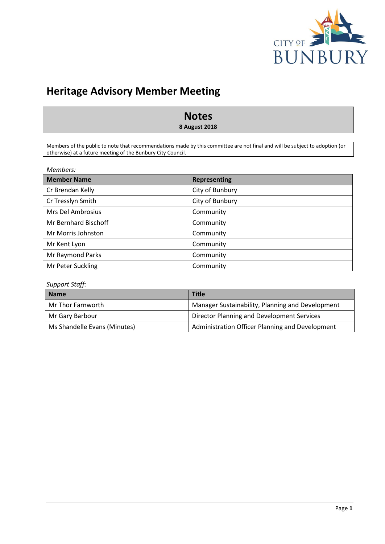

# **Heritage Advisory Member Meeting**

# **Notes**

**8 August 2018**

Members of the public to note that recommendations made by this committee are not final and will be subject to adoption (or otherwise) at a future meeting of the Bunbury City Council.

| Members: |  |
|----------|--|
|----------|--|

| <b>Member Name</b>   | <b>Representing</b> |
|----------------------|---------------------|
| Cr Brendan Kelly     | City of Bunbury     |
| Cr Tresslyn Smith    | City of Bunbury     |
| Mrs Del Ambrosius    | Community           |
| Mr Bernhard Bischoff | Community           |
| Mr Morris Johnston   | Community           |
| Mr Kent Lyon         | Community           |
| Mr Raymond Parks     | Community           |
| Mr Peter Suckling    | Community           |

# *Support Staff:*

| <b>Name</b>                  | <b>Title</b>                                     |
|------------------------------|--------------------------------------------------|
| Mr Thor Farnworth            | Manager Sustainability, Planning and Development |
| Mr Gary Barbour              | Director Planning and Development Services       |
| Ms Shandelle Evans (Minutes) | Administration Officer Planning and Development  |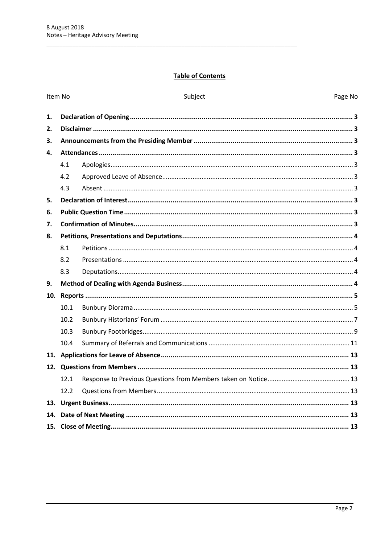# **Table of Contents**

|     | Item No | Subject | Page No |
|-----|---------|---------|---------|
| 1.  |         |         |         |
| 2.  |         |         |         |
| 3.  |         |         |         |
| 4.  |         |         |         |
|     | 4.1     |         |         |
|     | 4.2     |         |         |
|     | 4.3     |         |         |
| 5.  |         |         |         |
| 6.  |         |         |         |
| 7.  |         |         |         |
| 8.  |         |         |         |
|     | 8.1     |         |         |
|     | 8.2     |         |         |
|     | 8.3     |         |         |
| 9.  |         |         |         |
| 10. |         |         |         |
|     | 10.1    |         |         |
|     | 10.2    |         |         |
|     | 10.3    |         |         |
|     | 10.4    |         |         |
|     |         |         |         |
|     |         |         |         |
|     | 12.1    |         |         |
|     | 12.2    |         |         |
|     |         |         |         |
| 14. |         |         |         |
|     |         |         |         |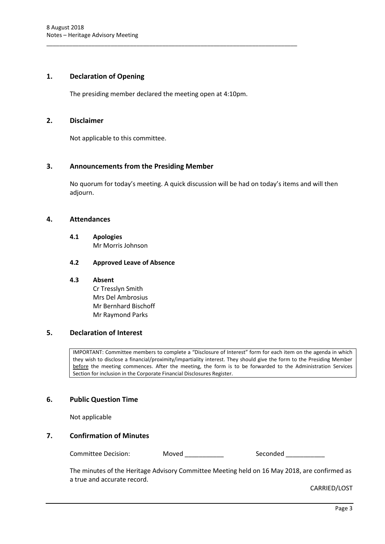# <span id="page-3-0"></span>**1. Declaration of Opening**

The presiding member declared the meeting open at 4:10pm.

\_\_\_\_\_\_\_\_\_\_\_\_\_\_\_\_\_\_\_\_\_\_\_\_\_\_\_\_\_\_\_\_\_\_\_\_\_\_\_\_\_\_\_\_\_\_\_\_\_\_\_\_\_\_\_\_\_\_\_\_\_\_\_\_\_\_\_\_\_\_\_\_\_\_\_\_\_\_

## <span id="page-3-1"></span>**2. Disclaimer**

Not applicable to this committee.

# <span id="page-3-2"></span>**3. Announcements from the Presiding Member**

No quorum for today's meeting. A quick discussion will be had on today's items and will then adjourn.

#### <span id="page-3-4"></span><span id="page-3-3"></span>**4. Attendances**

**4.1 Apologies** Mr Morris Johnson

#### <span id="page-3-5"></span>**4.2 Approved Leave of Absence**

#### <span id="page-3-6"></span>**4.3 Absent**

Cr Tresslyn Smith Mrs Del Ambrosius Mr Bernhard Bischoff Mr Raymond Parks

# <span id="page-3-7"></span>**5. Declaration of Interest**

IMPORTANT: Committee members to complete a "Disclosure of Interest" form for each item on the agenda in which they wish to disclose a financial/proximity/impartiality interest. They should give the form to the Presiding Member before the meeting commences. After the meeting, the form is to be forwarded to the Administration Services Section for inclusion in the Corporate Financial Disclosures Register.

#### <span id="page-3-8"></span>**6. Public Question Time**

Not applicable

# <span id="page-3-9"></span>**7. Confirmation of Minutes**

Committee Decision: Moved \_\_\_\_\_\_\_\_\_\_\_ Seconded \_\_\_\_\_\_\_\_\_

The minutes of the Heritage Advisory Committee Meeting held on 16 May 2018, are confirmed as a true and accurate record.

CARRIED/LOST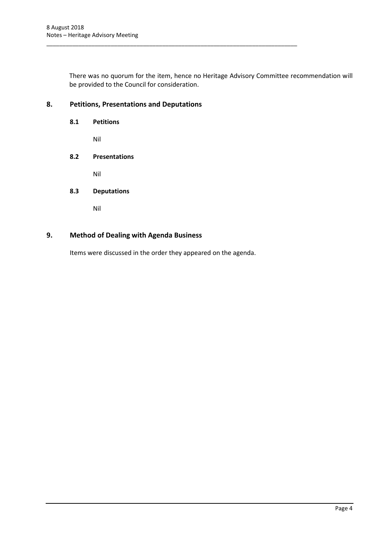There was no quorum for the item, hence no Heritage Advisory Committee recommendation will be provided to the Council for consideration.

\_\_\_\_\_\_\_\_\_\_\_\_\_\_\_\_\_\_\_\_\_\_\_\_\_\_\_\_\_\_\_\_\_\_\_\_\_\_\_\_\_\_\_\_\_\_\_\_\_\_\_\_\_\_\_\_\_\_\_\_\_\_\_\_\_\_\_\_\_\_\_\_\_\_\_\_\_\_

# <span id="page-4-1"></span><span id="page-4-0"></span>**8. Petitions, Presentations and Deputations**

<span id="page-4-2"></span>**8.1 Petitions** Nil **8.2 Presentations**

Nil

# <span id="page-4-3"></span>**8.3 Deputations**

Nil

# <span id="page-4-4"></span>**9. Method of Dealing with Agenda Business**

Items were discussed in the order they appeared on the agenda.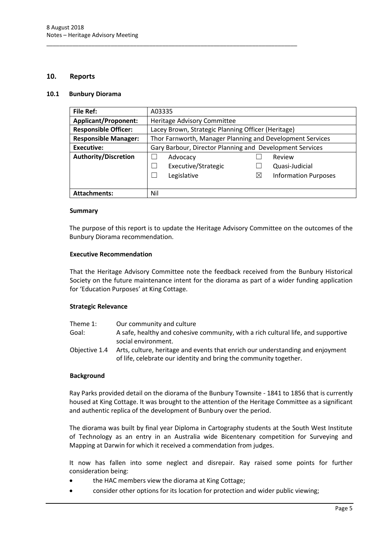#### <span id="page-5-0"></span>**10. Reports**

#### <span id="page-5-1"></span>**10.1 Bunbury Diorama**

| <b>File Ref:</b>            | A03335                                                    |          |                             |  |
|-----------------------------|-----------------------------------------------------------|----------|-----------------------------|--|
| <b>Applicant/Proponent:</b> | Heritage Advisory Committee                               |          |                             |  |
| <b>Responsible Officer:</b> | Lacey Brown, Strategic Planning Officer (Heritage)        |          |                             |  |
| <b>Responsible Manager:</b> | Thor Farnworth, Manager Planning and Development Services |          |                             |  |
| <b>Executive:</b>           | Gary Barbour, Director Planning and Development Services  |          |                             |  |
| <b>Authority/Discretion</b> | Advocacy                                                  |          | Review                      |  |
|                             | Executive/Strategic                                       |          | Quasi-Judicial              |  |
|                             | Legislative                                               | $\times$ | <b>Information Purposes</b> |  |
|                             |                                                           |          |                             |  |
| <b>Attachments:</b>         | Nil                                                       |          |                             |  |

\_\_\_\_\_\_\_\_\_\_\_\_\_\_\_\_\_\_\_\_\_\_\_\_\_\_\_\_\_\_\_\_\_\_\_\_\_\_\_\_\_\_\_\_\_\_\_\_\_\_\_\_\_\_\_\_\_\_\_\_\_\_\_\_\_\_\_\_\_\_\_\_\_\_\_\_\_\_

#### **Summary**

The purpose of this report is to update the Heritage Advisory Committee on the outcomes of the Bunbury Diorama recommendation.

#### **Executive Recommendation**

That the Heritage Advisory Committee note the feedback received from the Bunbury Historical Society on the future maintenance intent for the diorama as part of a wider funding application for 'Education Purposes' at King Cottage.

#### **Strategic Relevance**

| Theme 1:      | Our community and culture                                                         |
|---------------|-----------------------------------------------------------------------------------|
| Goal:         | A safe, healthy and cohesive community, with a rich cultural life, and supportive |
|               | social environment.                                                               |
| Obiective 1.4 | Arts, culture, heritage and events that enrich our understanding and enjoyment    |
|               | of life, celebrate our identity and bring the community together.                 |

#### **Background**

Ray Parks provided detail on the diorama of the Bunbury Townsite - 1841 to 1856 that is currently housed at King Cottage. It was brought to the attention of the Heritage Committee as a significant and authentic replica of the development of Bunbury over the period.

The diorama was built by final year Diploma in Cartography students at the South West Institute of Technology as an entry in an Australia wide Bicentenary competition for Surveying and Mapping at Darwin for which it received a commendation from judges.

It now has fallen into some neglect and disrepair. Ray raised some points for further consideration being:

- the HAC members view the diorama at King Cottage;
- consider other options for its location for protection and wider public viewing;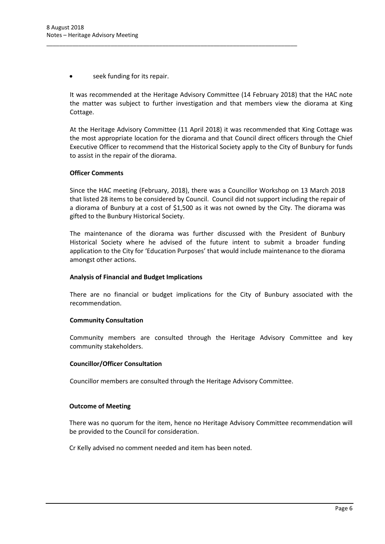seek funding for its repair.

It was recommended at the Heritage Advisory Committee (14 February 2018) that the HAC note the matter was subject to further investigation and that members view the diorama at King Cottage.

\_\_\_\_\_\_\_\_\_\_\_\_\_\_\_\_\_\_\_\_\_\_\_\_\_\_\_\_\_\_\_\_\_\_\_\_\_\_\_\_\_\_\_\_\_\_\_\_\_\_\_\_\_\_\_\_\_\_\_\_\_\_\_\_\_\_\_\_\_\_\_\_\_\_\_\_\_\_

At the Heritage Advisory Committee (11 April 2018) it was recommended that King Cottage was the most appropriate location for the diorama and that Council direct officers through the Chief Executive Officer to recommend that the Historical Society apply to the City of Bunbury for funds to assist in the repair of the diorama.

#### **Officer Comments**

Since the HAC meeting (February, 2018), there was a Councillor Workshop on 13 March 2018 that listed 28 items to be considered by Council. Council did not support including the repair of a diorama of Bunbury at a cost of \$1,500 as it was not owned by the City. The diorama was gifted to the Bunbury Historical Society.

The maintenance of the diorama was further discussed with the President of Bunbury Historical Society where he advised of the future intent to submit a broader funding application to the City for 'Education Purposes' that would include maintenance to the diorama amongst other actions.

#### **Analysis of Financial and Budget Implications**

There are no financial or budget implications for the City of Bunbury associated with the recommendation.

#### **Community Consultation**

Community members are consulted through the Heritage Advisory Committee and key community stakeholders.

#### **Councillor/Officer Consultation**

Councillor members are consulted through the Heritage Advisory Committee.

#### **Outcome of Meeting**

There was no quorum for the item, hence no Heritage Advisory Committee recommendation will be provided to the Council for consideration.

Cr Kelly advised no comment needed and item has been noted.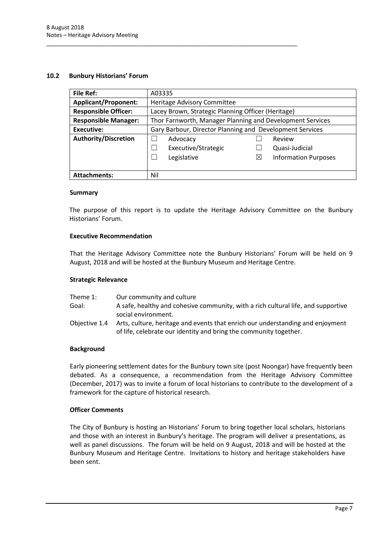# <span id="page-7-0"></span>**10.2 Bunbury Historians' Forum**

| <b>File Ref:</b>            | A03335                                                    |                                                    |                             |  |
|-----------------------------|-----------------------------------------------------------|----------------------------------------------------|-----------------------------|--|
| <b>Applicant/Proponent:</b> | Heritage Advisory Committee                               |                                                    |                             |  |
| <b>Responsible Officer:</b> |                                                           | Lacey Brown, Strategic Planning Officer (Heritage) |                             |  |
| <b>Responsible Manager:</b> | Thor Farnworth, Manager Planning and Development Services |                                                    |                             |  |
| <b>Executive:</b>           | Gary Barbour, Director Planning and Development Services  |                                                    |                             |  |
| <b>Authority/Discretion</b> | Advocacy                                                  |                                                    | Review                      |  |
|                             | Executive/Strategic                                       |                                                    | Quasi-Judicial              |  |
|                             | Legislative                                               | ⊠                                                  | <b>Information Purposes</b> |  |
|                             |                                                           |                                                    |                             |  |
| <b>Attachments:</b>         | Nil                                                       |                                                    |                             |  |

\_\_\_\_\_\_\_\_\_\_\_\_\_\_\_\_\_\_\_\_\_\_\_\_\_\_\_\_\_\_\_\_\_\_\_\_\_\_\_\_\_\_\_\_\_\_\_\_\_\_\_\_\_\_\_\_\_\_\_\_\_\_\_\_\_\_\_\_\_\_\_\_\_\_\_\_\_\_

#### **Summary**

The purpose of this report is to update the Heritage Advisory Committee on the Bunbury Historians' Forum.

# **Executive Recommendation**

That the Heritage Advisory Committee note the Bunbury Historians' Forum will be held on 9 August, 2018 and will be hosted at the Bunbury Museum and Heritage Centre.

#### **Strategic Relevance**

| Theme 1:      | Our community and culture                                                         |
|---------------|-----------------------------------------------------------------------------------|
| Goal:         | A safe, healthy and cohesive community, with a rich cultural life, and supportive |
|               | social environment.                                                               |
| Obiective 1.4 | Arts, culture, heritage and events that enrich our understanding and enjoyment    |
|               | of life, celebrate our identity and bring the community together.                 |

# **Background**

Early pioneering settlement dates for the Bunbury town site (post Noongar) have frequently been debated. As a consequence, a recommendation from the Heritage Advisory Committee (December, 2017) was to invite a forum of local historians to contribute to the development of a framework for the capture of historical research.

#### **Officer Comments**

The City of Bunbury is hosting an Historians' Forum to bring together local scholars, historians and those with an interest in Bunbury's heritage. The program will deliver a presentations, as well as panel discussions. The forum will be held on 9 August, 2018 and will be hosted at the Bunbury Museum and Heritage Centre. Invitations to history and heritage stakeholders have been sent.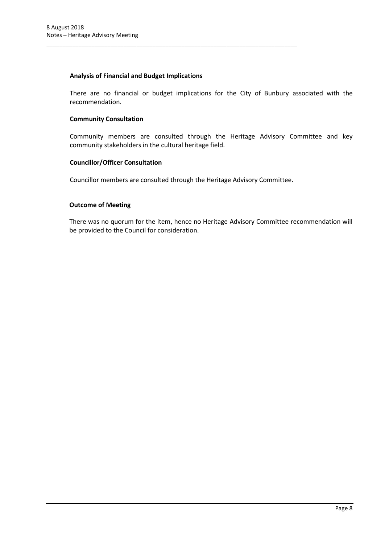# **Analysis of Financial and Budget Implications**

There are no financial or budget implications for the City of Bunbury associated with the recommendation.

# **Community Consultation**

Community members are consulted through the Heritage Advisory Committee and key community stakeholders in the cultural heritage field.

#### **Councillor/Officer Consultation**

Councillor members are consulted through the Heritage Advisory Committee.

\_\_\_\_\_\_\_\_\_\_\_\_\_\_\_\_\_\_\_\_\_\_\_\_\_\_\_\_\_\_\_\_\_\_\_\_\_\_\_\_\_\_\_\_\_\_\_\_\_\_\_\_\_\_\_\_\_\_\_\_\_\_\_\_\_\_\_\_\_\_\_\_\_\_\_\_\_\_

#### **Outcome of Meeting**

There was no quorum for the item, hence no Heritage Advisory Committee recommendation will be provided to the Council for consideration.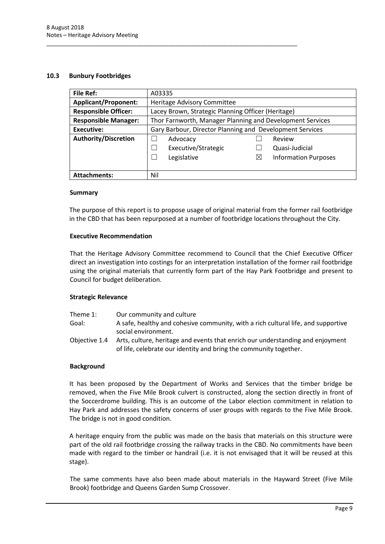#### <span id="page-9-0"></span>**10.3 Bunbury Footbridges**

| <b>File Ref:</b>            | A03335                                                    |   |                             |  |
|-----------------------------|-----------------------------------------------------------|---|-----------------------------|--|
| <b>Applicant/Proponent:</b> | Heritage Advisory Committee                               |   |                             |  |
| <b>Responsible Officer:</b> | Lacey Brown, Strategic Planning Officer (Heritage)        |   |                             |  |
| <b>Responsible Manager:</b> | Thor Farnworth, Manager Planning and Development Services |   |                             |  |
| <b>Executive:</b>           | Gary Barbour, Director Planning and Development Services  |   |                             |  |
| <b>Authority/Discretion</b> | Advocacy                                                  |   | Review                      |  |
|                             | Executive/Strategic                                       |   | Quasi-Judicial              |  |
|                             | Legislative                                               | ⊠ | <b>Information Purposes</b> |  |
|                             |                                                           |   |                             |  |
| <b>Attachments:</b>         | Nil                                                       |   |                             |  |

\_\_\_\_\_\_\_\_\_\_\_\_\_\_\_\_\_\_\_\_\_\_\_\_\_\_\_\_\_\_\_\_\_\_\_\_\_\_\_\_\_\_\_\_\_\_\_\_\_\_\_\_\_\_\_\_\_\_\_\_\_\_\_\_\_\_\_\_\_\_\_\_\_\_\_\_\_\_

#### **Summary**

The purpose of this report is to propose usage of original material from the former rail footbridge in the CBD that has been repurposed at a number of footbridge locations throughout the City.

#### **Executive Recommendation**

That the Heritage Advisory Committee recommend to Council that the Chief Executive Officer direct an investigation into costings for an interpretation installation of the former rail footbridge using the original materials that currently form part of the Hay Park Footbridge and present to Council for budget deliberation.

#### **Strategic Relevance**

| Theme 1:      | Our community and culture                                                         |
|---------------|-----------------------------------------------------------------------------------|
| Goal:         | A safe, healthy and cohesive community, with a rich cultural life, and supportive |
|               | social environment.                                                               |
| Objective 1.4 | Arts, culture, heritage and events that enrich our understanding and enjoyment    |
|               | of life, celebrate our identity and bring the community together.                 |

#### **Background**

It has been proposed by the Department of Works and Services that the timber bridge be removed, when the Five Mile Brook culvert is constructed, along the section directly in front of the Soccerdrome building. This is an outcome of the Labor election commitment in relation to Hay Park and addresses the safety concerns of user groups with regards to the Five Mile Brook. The bridge is not in good condition.

A heritage enquiry from the public was made on the basis that materials on this structure were part of the old rail footbridge crossing the railway tracks in the CBD. No commitments have been made with regard to the timber or handrail (i.e. it is not envisaged that it will be reused at this stage).

The same comments have also been made about materials in the Hayward Street (Five Mile Brook) footbridge and Queens Garden Sump Crossover.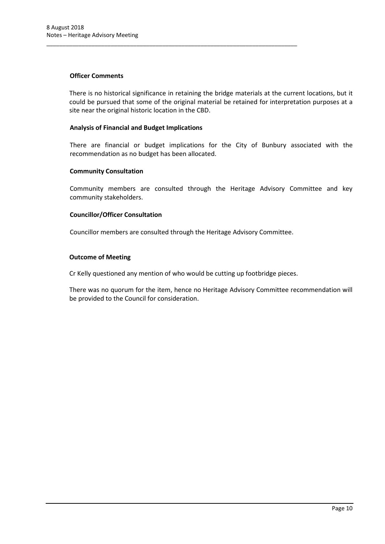#### **Officer Comments**

There is no historical significance in retaining the bridge materials at the current locations, but it could be pursued that some of the original material be retained for interpretation purposes at a site near the original historic location in the CBD.

#### **Analysis of Financial and Budget Implications**

There are financial or budget implications for the City of Bunbury associated with the recommendation as no budget has been allocated.

#### **Community Consultation**

Community members are consulted through the Heritage Advisory Committee and key community stakeholders.

#### **Councillor/Officer Consultation**

Councillor members are consulted through the Heritage Advisory Committee.

\_\_\_\_\_\_\_\_\_\_\_\_\_\_\_\_\_\_\_\_\_\_\_\_\_\_\_\_\_\_\_\_\_\_\_\_\_\_\_\_\_\_\_\_\_\_\_\_\_\_\_\_\_\_\_\_\_\_\_\_\_\_\_\_\_\_\_\_\_\_\_\_\_\_\_\_\_\_

#### **Outcome of Meeting**

Cr Kelly questioned any mention of who would be cutting up footbridge pieces.

There was no quorum for the item, hence no Heritage Advisory Committee recommendation will be provided to the Council for consideration.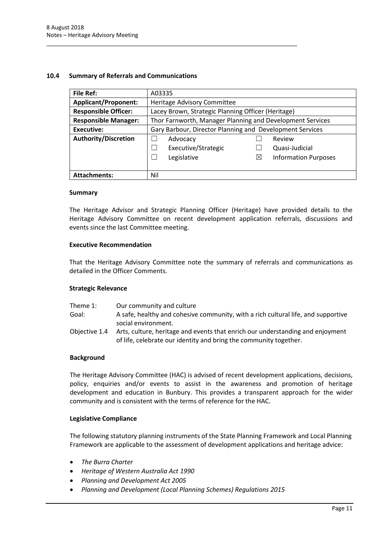#### <span id="page-11-0"></span>**10.4 Summary of Referrals and Communications**

\_\_\_\_\_\_\_\_\_\_\_\_\_\_\_\_\_\_\_\_\_\_\_\_\_\_\_\_\_\_\_\_\_\_\_\_\_\_\_\_\_\_\_\_\_\_\_\_\_\_\_\_\_\_\_\_\_\_\_\_\_\_\_\_\_\_\_\_\_\_\_\_\_\_\_\_\_\_

| <b>File Ref:</b>            | A03335                                                    |                                                    |                             |  |
|-----------------------------|-----------------------------------------------------------|----------------------------------------------------|-----------------------------|--|
| <b>Applicant/Proponent:</b> | Heritage Advisory Committee                               |                                                    |                             |  |
| <b>Responsible Officer:</b> |                                                           | Lacey Brown, Strategic Planning Officer (Heritage) |                             |  |
| <b>Responsible Manager:</b> | Thor Farnworth, Manager Planning and Development Services |                                                    |                             |  |
| <b>Executive:</b>           | Gary Barbour, Director Planning and Development Services  |                                                    |                             |  |
| <b>Authority/Discretion</b> | Advocacy                                                  |                                                    | Review                      |  |
|                             | Executive/Strategic                                       |                                                    | Quasi-Judicial              |  |
|                             | Legislative<br>$\mathcal{L}$                              | $\boxtimes$                                        | <b>Information Purposes</b> |  |
|                             |                                                           |                                                    |                             |  |
| <b>Attachments:</b>         | Nil                                                       |                                                    |                             |  |

#### **Summary**

The Heritage Advisor and Strategic Planning Officer (Heritage) have provided details to the Heritage Advisory Committee on recent development application referrals, discussions and events since the last Committee meeting.

#### **Executive Recommendation**

That the Heritage Advisory Committee note the summary of referrals and communications as detailed in the Officer Comments.

#### **Strategic Relevance**

| Theme 1:      | Our community and culture                                                         |
|---------------|-----------------------------------------------------------------------------------|
| Goal:         | A safe, healthy and cohesive community, with a rich cultural life, and supportive |
|               | social environment.                                                               |
| Objective 1.4 | Arts, culture, heritage and events that enrich our understanding and enjoyment    |
|               | of life, celebrate our identity and bring the community together.                 |

#### **Background**

The Heritage Advisory Committee (HAC) is advised of recent development applications, decisions, policy, enquiries and/or events to assist in the awareness and promotion of heritage development and education in Bunbury. This provides a transparent approach for the wider community and is consistent with the terms of reference for the HAC.

#### **Legislative Compliance**

The following statutory planning instruments of the State Planning Framework and Local Planning Framework are applicable to the assessment of development applications and heritage advice:

- *The Burra Charter*
- *Heritage of Western Australia Act 1990*
- *Planning and Development Act 2005*
- *Planning and Development (Local Planning Schemes) Regulations 2015*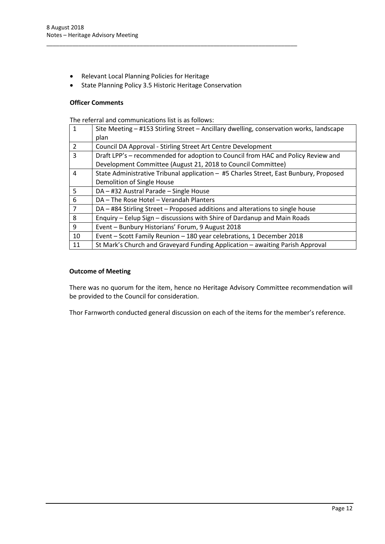- Relevant Local Planning Policies for Heritage
- State Planning Policy 3.5 Historic Heritage Conservation

\_\_\_\_\_\_\_\_\_\_\_\_\_\_\_\_\_\_\_\_\_\_\_\_\_\_\_\_\_\_\_\_\_\_\_\_\_\_\_\_\_\_\_\_\_\_\_\_\_\_\_\_\_\_\_\_\_\_\_\_\_\_\_\_\_\_\_\_\_\_\_\_\_\_\_\_\_\_

#### **Officer Comments**

The referral and communications list is as follows:

| 1              | Site Meeting - #153 Stirling Street - Ancillary dwelling, conservation works, landscape<br>plan |
|----------------|-------------------------------------------------------------------------------------------------|
| $\mathcal{P}$  | Council DA Approval - Stirling Street Art Centre Development                                    |
| 3              | Draft LPP's – recommended for adoption to Council from HAC and Policy Review and                |
|                | Development Committee (August 21, 2018 to Council Committee)                                    |
| 4              | State Administrative Tribunal application - #5 Charles Street, East Bunbury, Proposed           |
|                | Demolition of Single House                                                                      |
| 5              | DA - #32 Austral Parade - Single House                                                          |
| 6              | DA - The Rose Hotel - Verandah Planters                                                         |
| $\overline{7}$ | DA - #84 Stirling Street - Proposed additions and alterations to single house                   |
| 8              | Enquiry - Eelup Sign - discussions with Shire of Dardanup and Main Roads                        |
| 9              | Event - Bunbury Historians' Forum, 9 August 2018                                                |
| 10             | Event - Scott Family Reunion - 180 year celebrations, 1 December 2018                           |
| 11             | St Mark's Church and Graveyard Funding Application - awaiting Parish Approval                   |

## **Outcome of Meeting**

There was no quorum for the item, hence no Heritage Advisory Committee recommendation will be provided to the Council for consideration.

Thor Farnworth conducted general discussion on each of the items for the member's reference.